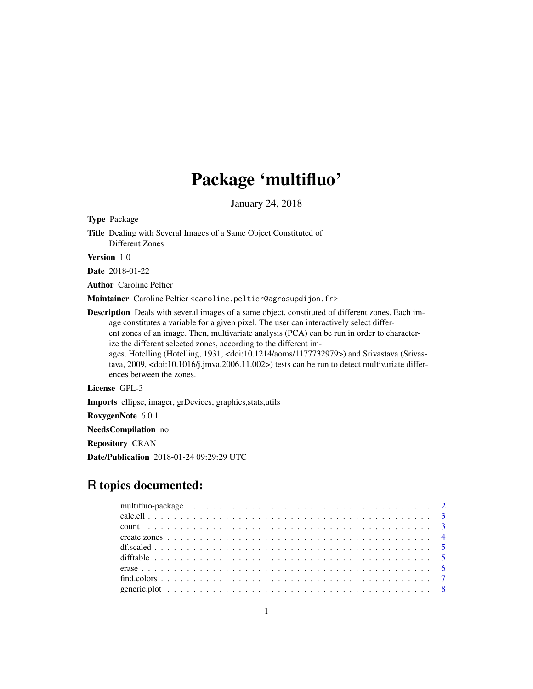# Package 'multifluo'

January 24, 2018

Type Package Title Dealing with Several Images of a Same Object Constituted of Different Zones

Version 1.0

Date 2018-01-22

Author Caroline Peltier

Maintainer Caroline Peltier <caroline.peltier@agrosupdijon.fr>

Description Deals with several images of a same object, constituted of different zones. Each image constitutes a variable for a given pixel. The user can interactively select different zones of an image. Then, multivariate analysis (PCA) can be run in order to characterize the different selected zones, according to the different images. Hotelling (Hotelling, 1931, <doi:10.1214/aoms/1177732979>) and Srivastava (Srivastava, 2009, <doi:10.1016/j.jmva.2006.11.002>) tests can be run to detect multivariate differences between the zones.

License GPL-3

Imports ellipse, imager, grDevices, graphics,stats,utils

RoxygenNote 6.0.1

NeedsCompilation no

Repository CRAN

Date/Publication 2018-01-24 09:29:29 UTC

# R topics documented: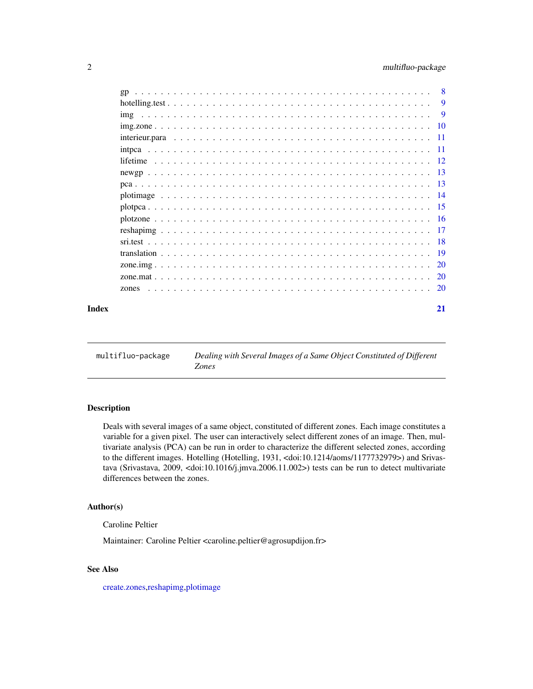# <span id="page-1-0"></span>2 multifluo-package

|       |       |  | $\overline{\phantom{0}}8$ |    |
|-------|-------|--|---------------------------|----|
|       |       |  |                           |    |
|       |       |  |                           |    |
|       |       |  |                           |    |
|       |       |  |                           |    |
|       |       |  |                           |    |
|       |       |  |                           |    |
|       |       |  |                           |    |
|       |       |  |                           |    |
|       |       |  |                           |    |
|       |       |  |                           |    |
|       |       |  |                           |    |
|       |       |  |                           |    |
|       |       |  |                           |    |
|       |       |  |                           |    |
|       |       |  |                           |    |
|       |       |  |                           |    |
|       | zones |  |                           |    |
| Index |       |  |                           | 21 |

multifluo-package *Dealing with Several Images of a Same Object Constituted of Different Zones*

#### Description

Deals with several images of a same object, constituted of different zones. Each image constitutes a variable for a given pixel. The user can interactively select different zones of an image. Then, multivariate analysis (PCA) can be run in order to characterize the different selected zones, according to the different images. Hotelling (Hotelling, 1931, <doi:10.1214/aoms/1177732979>) and Srivastava (Srivastava, 2009, <doi:10.1016/j.jmva.2006.11.002>) tests can be run to detect multivariate differences between the zones.

#### Author(s)

Caroline Peltier

Maintainer: Caroline Peltier <caroline.peltier@agrosupdijon.fr>

# See Also

[create.zones](#page-3-1)[,reshapimg](#page-16-1)[,plotimage](#page-13-1)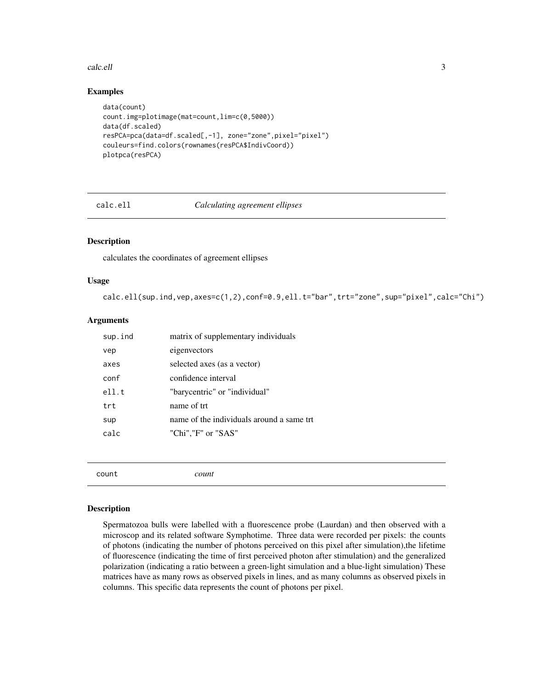#### <span id="page-2-0"></span>calc.ell 3

#### Examples

```
data(count)
count.img=plotimage(mat=count,lim=c(0,5000))
data(df.scaled)
resPCA=pca(data=df.scaled[,-1], zone="zone",pixel="pixel")
couleurs=find.colors(rownames(resPCA$IndivCoord))
plotpca(resPCA)
```
calc.ell *Calculating agreement ellipses*

#### Description

calculates the coordinates of agreement ellipses

#### Usage

calc.ell(sup.ind,vep,axes=c(1,2),conf=0.9,ell.t="bar",trt="zone",sup="pixel",calc="Chi")

#### Arguments

| sup.ind | matrix of supplementary individuals       |
|---------|-------------------------------------------|
| vep     | eigenvectors                              |
| axes    | selected axes (as a vector)               |
| conf    | confidence interval                       |
| ell.t   | "barycentric" or "individual"             |
| trt     | name of trt                               |
| sup     | name of the individuals around a same trt |
| calc    | "Chi","F" or "SAS"                        |
|         |                                           |

<span id="page-2-1"></span>count *count*

#### Description

Spermatozoa bulls were labelled with a fluorescence probe (Laurdan) and then observed with a microscop and its related software Symphotime. Three data were recorded per pixels: the counts of photons (indicating the number of photons perceived on this pixel after simulation),the lifetime of fluorescence (indicating the time of first perceived photon after stimulation) and the generalized polarization (indicating a ratio between a green-light simulation and a blue-light simulation) These matrices have as many rows as observed pixels in lines, and as many columns as observed pixels in columns. This specific data represents the count of photons per pixel.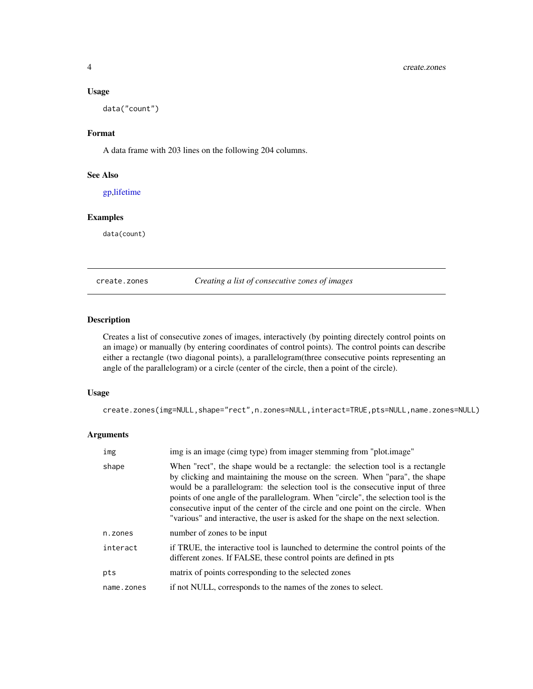#### Usage

data("count")

# Format

A data frame with 203 lines on the following 204 columns.

#### See Also

[gp](#page-7-1)[,lifetime](#page-11-1)

#### Examples

data(count)

#### <span id="page-3-1"></span>create.zones *Creating a list of consecutive zones of images*

#### Description

Creates a list of consecutive zones of images, interactively (by pointing directely control points on an image) or manually (by entering coordinates of control points). The control points can describe either a rectangle (two diagonal points), a parallelogram(three consecutive points representing an angle of the parallelogram) or a circle (center of the circle, then a point of the circle).

#### Usage

create.zones(img=NULL,shape="rect",n.zones=NULL,interact=TRUE,pts=NULL,name.zones=NULL)

| img        | img is an image (cimg type) from imager stemming from "plot.image"                                                                                                                                                                                                                                                                                                                                                                                                                                            |
|------------|---------------------------------------------------------------------------------------------------------------------------------------------------------------------------------------------------------------------------------------------------------------------------------------------------------------------------------------------------------------------------------------------------------------------------------------------------------------------------------------------------------------|
| shape      | When "rect", the shape would be a rectangle: the selection tool is a rectangle<br>by clicking and maintaining the mouse on the screen. When "para", the shape<br>would be a parallelogram: the selection tool is the consecutive input of three<br>points of one angle of the parallelogram. When "circle", the selection tool is the<br>consecutive input of the center of the circle and one point on the circle. When<br>"various" and interactive, the user is asked for the shape on the next selection. |
| n.zones    | number of zones to be input                                                                                                                                                                                                                                                                                                                                                                                                                                                                                   |
| interact   | if TRUE, the interactive tool is launched to determine the control points of the<br>different zones. If FALSE, these control points are defined in pts                                                                                                                                                                                                                                                                                                                                                        |
| pts        | matrix of points corresponding to the selected zones                                                                                                                                                                                                                                                                                                                                                                                                                                                          |
| name.zones | if not NULL, corresponds to the names of the zones to select.                                                                                                                                                                                                                                                                                                                                                                                                                                                 |

<span id="page-3-0"></span>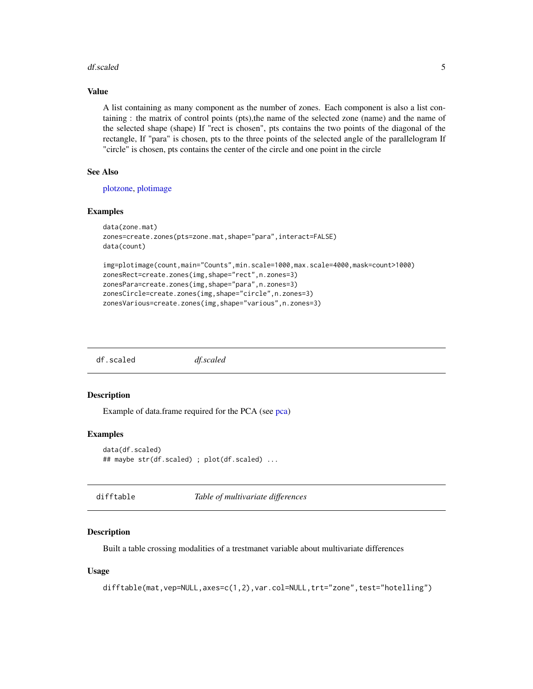#### <span id="page-4-0"></span>df.scaled 5

#### Value

A list containing as many component as the number of zones. Each component is also a list containing : the matrix of control points (pts),the name of the selected zone (name) and the name of the selected shape (shape) If "rect is chosen", pts contains the two points of the diagonal of the rectangle, If "para" is chosen, pts to the three points of the selected angle of the parallelogram If "circle" is chosen, pts contains the center of the circle and one point in the circle

# See Also

[plotzone,](#page-15-1) [plotimage](#page-13-1)

#### Examples

```
data(zone.mat)
zones=create.zones(pts=zone.mat,shape="para",interact=FALSE)
data(count)
img=plotimage(count,main="Counts",min.scale=1000,max.scale=4000,mask=count>1000)
zonesRect=create.zones(img,shape="rect",n.zones=3)
zonesPara=create.zones(img,shape="para",n.zones=3)
zonesCircle=create.zones(img,shape="circle",n.zones=3)
zonesVarious=create.zones(img,shape="various",n.zones=3)
```
df.scaled *df.scaled*

#### **Description**

Example of data.frame required for the PCA (see [pca\)](#page-12-1)

#### Examples

```
data(df.scaled)
## maybe str(df.scaled) ; plot(df.scaled) ...
```
<span id="page-4-1"></span>

difftable *Table of multivariate differences*

#### **Description**

Built a table crossing modalities of a trestmanet variable about multivariate differences

#### Usage

```
difftable(mat,vep=NULL,axes=c(1,2),var.col=NULL,trt="zone",test="hotelling")
```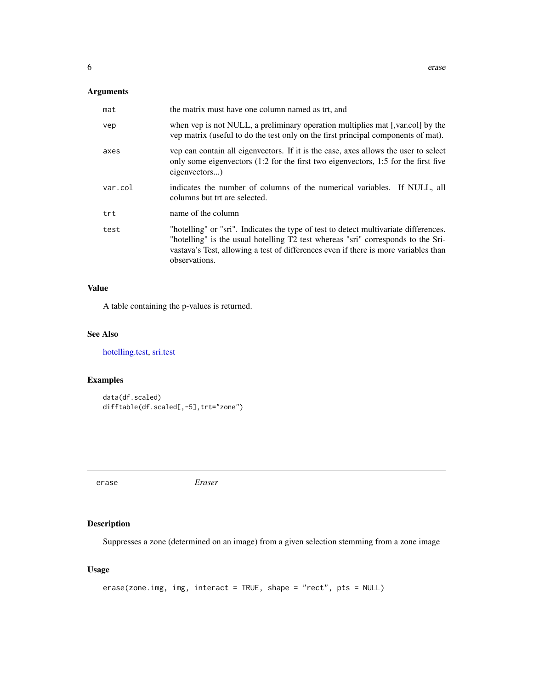# <span id="page-5-0"></span>Arguments

| mat     | the matrix must have one column named as trt, and                                                                                                                                                                                                                                |
|---------|----------------------------------------------------------------------------------------------------------------------------------------------------------------------------------------------------------------------------------------------------------------------------------|
| vep     | when vep is not NULL, a preliminary operation multiplies mat [,var.col] by the<br>vep matrix (useful to do the test only on the first principal components of mat).                                                                                                              |
| axes    | vep can contain all eigenvectors. If it is the case, axes allows the user to select<br>only some eigenvectors $(1:2$ for the first two eigenvectors, 1:5 for the first five<br>eigenvectors)                                                                                     |
| var.col | indicates the number of columns of the numerical variables. If NULL, all<br>columns but trt are selected.                                                                                                                                                                        |
| trt     | name of the column                                                                                                                                                                                                                                                               |
| test    | "hotelling" or "sri". Indicates the type of test to detect multivariate differences.<br>"hotelling" is the usual hotelling T2 test whereas "sri" corresponds to the Sri-<br>vastava's Test, allowing a test of differences even if there is more variables than<br>observations. |

# Value

A table containing the p-values is returned.

#### See Also

[hotelling.test,](#page-8-1) [sri.test](#page-17-1)

# Examples

```
data(df.scaled)
difftable(df.scaled[,-5],trt="zone")
```
<span id="page-5-1"></span>

erase *Eraser*

# Description

Suppresses a zone (determined on an image) from a given selection stemming from a zone image

# Usage

```
erase(zone.img, img, interact = TRUE, shape = "rect", pts = NULL)
```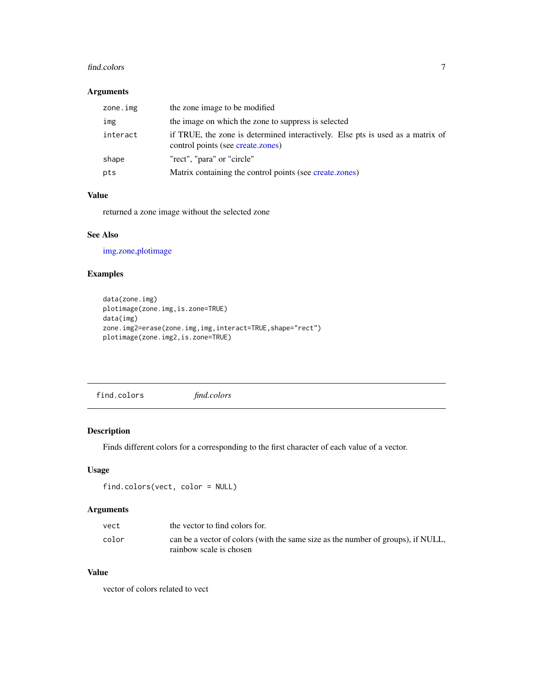#### <span id="page-6-0"></span>find.colors **7**

# Arguments

| zone.img | the zone image to be modified                                                                                       |
|----------|---------------------------------------------------------------------------------------------------------------------|
| img      | the image on which the zone to suppress is selected                                                                 |
| interact | if TRUE, the zone is determined interactively. Else pts is used as a matrix of<br>control points (see create.zones) |
| shape    | "rect", "para" or "circle"                                                                                          |
| pts      | Matrix containing the control points (see create.zones)                                                             |

#### Value

returned a zone image without the selected zone

### See Also

[img.zone,](#page-9-1)[plotimage](#page-13-1)

# Examples

```
data(zone.img)
plotimage(zone.img,is.zone=TRUE)
data(img)
zone.img2=erase(zone.img,img,interact=TRUE,shape="rect")
plotimage(zone.img2,is.zone=TRUE)
```
find.colors *find.colors*

# Description

Finds different colors for a corresponding to the first character of each value of a vector.

# Usage

```
find.colors(vect, color = NULL)
```
### Arguments

| vect  | the vector to find colors for.                                                                              |
|-------|-------------------------------------------------------------------------------------------------------------|
| color | can be a vector of colors (with the same size as the number of groups), if NULL,<br>rainbow scale is chosen |

#### Value

vector of colors related to vect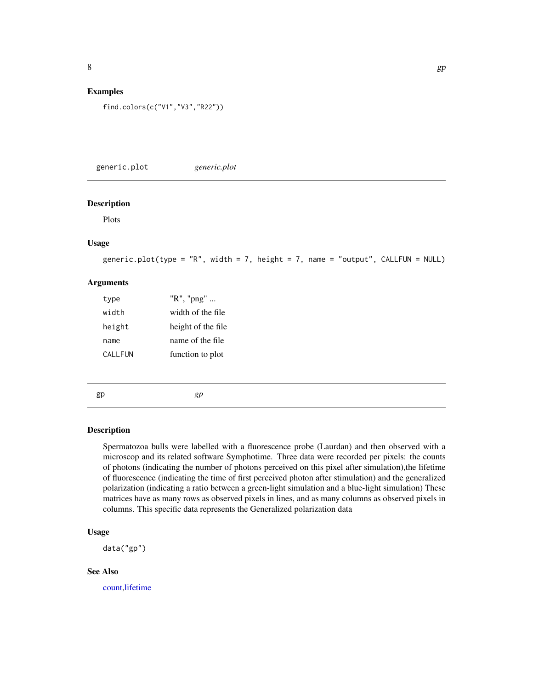# <span id="page-7-0"></span>Examples

find.colors(c("V1","V3","R22"))

generic.plot *generic.plot*

#### Description

Plots

# Usage

```
generic.plot(type = "R", width = 7, height = 7, name = "output", CALLFUN = NULL)
```
#### Arguments

| type     | "R", "png"         |
|----------|--------------------|
| width    | width of the file  |
| height   | height of the file |
| name     | name of the file   |
| CALL FUN | function to plot   |
|          |                    |

<span id="page-7-1"></span>gp *gp*

# Description

Spermatozoa bulls were labelled with a fluorescence probe (Laurdan) and then observed with a microscop and its related software Symphotime. Three data were recorded per pixels: the counts of photons (indicating the number of photons perceived on this pixel after simulation),the lifetime of fluorescence (indicating the time of first perceived photon after stimulation) and the generalized polarization (indicating a ratio between a green-light simulation and a blue-light simulation) These matrices have as many rows as observed pixels in lines, and as many columns as observed pixels in columns. This specific data represents the Generalized polarization data

#### Usage

data("gp")

#### See Also

[count](#page-2-1)[,lifetime](#page-11-1)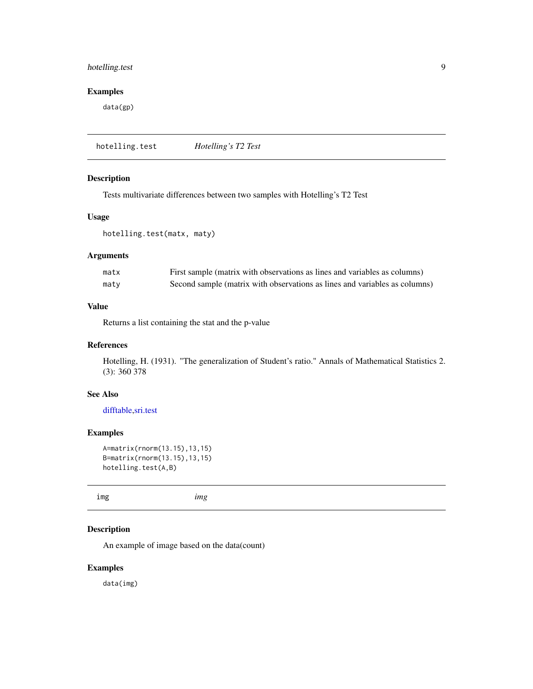# <span id="page-8-0"></span>hotelling.test 9

# Examples

data(gp)

<span id="page-8-1"></span>hotelling.test *Hotelling's T2 Test*

#### Description

Tests multivariate differences between two samples with Hotelling's T2 Test

#### Usage

hotelling.test(matx, maty)

#### Arguments

| matx | First sample (matrix with observations as lines and variables as columns)  |
|------|----------------------------------------------------------------------------|
| maty | Second sample (matrix with observations as lines and variables as columns) |

# Value

Returns a list containing the stat and the p-value

#### References

Hotelling, H. (1931). "The generalization of Student's ratio." Annals of Mathematical Statistics 2. (3): 360 378

# See Also

[difftable](#page-4-1)[,sri.test](#page-17-1)

#### Examples

```
A=matrix(rnorm(13.15),13,15)
B=matrix(rnorm(13.15),13,15)
hotelling.test(A,B)
```
img *img*

# Description

An example of image based on the data(count)

# Examples

data(img)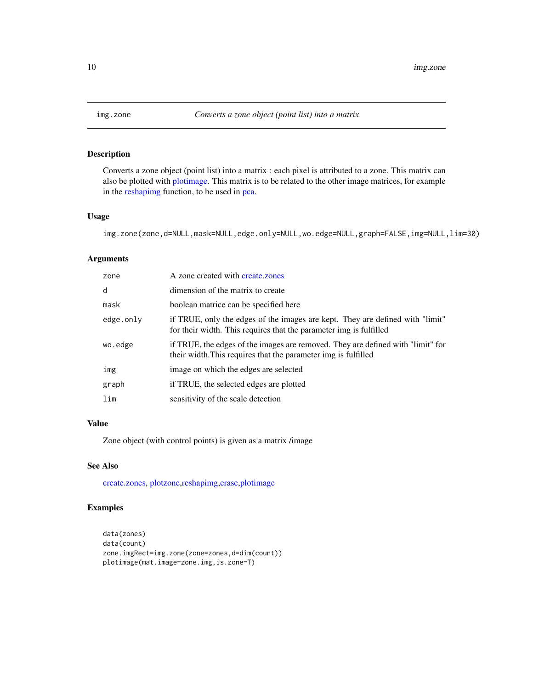<span id="page-9-1"></span><span id="page-9-0"></span>

### Description

Converts a zone object (point list) into a matrix : each pixel is attributed to a zone. This matrix can also be plotted with [plotimage.](#page-13-1) This matrix is to be related to the other image matrices, for example in the [reshapimg](#page-16-1) function, to be used in [pca.](#page-12-1)

#### Usage

img.zone(zone,d=NULL,mask=NULL,edge.only=NULL,wo.edge=NULL,graph=FALSE,img=NULL,lim=30)

#### Arguments

| zone      | A zone created with create.zones                                                                                                                    |
|-----------|-----------------------------------------------------------------------------------------------------------------------------------------------------|
| d         | dimension of the matrix to create                                                                                                                   |
| mask      | boolean matrice can be specified here                                                                                                               |
| edge.only | if TRUE, only the edges of the images are kept. They are defined with "limit"<br>for their width. This requires that the parameter img is fulfilled |
| wo.edge   | if TRUE, the edges of the images are removed. They are defined with "limit" for<br>their width. This requires that the parameter img is fulfilled   |
| img       | image on which the edges are selected                                                                                                               |
| graph     | if TRUE, the selected edges are plotted                                                                                                             |
| lim       | sensitivity of the scale detection                                                                                                                  |

# Value

Zone object (with control points) is given as a matrix /image

# See Also

[create.zones,](#page-3-1) [plotzone,](#page-15-1)[reshapimg,](#page-16-1)[erase,](#page-5-1)[plotimage](#page-13-1)

# Examples

```
data(zones)
data(count)
zone.imgRect=img.zone(zone=zones,d=dim(count))
plotimage(mat.image=zone.img,is.zone=T)
```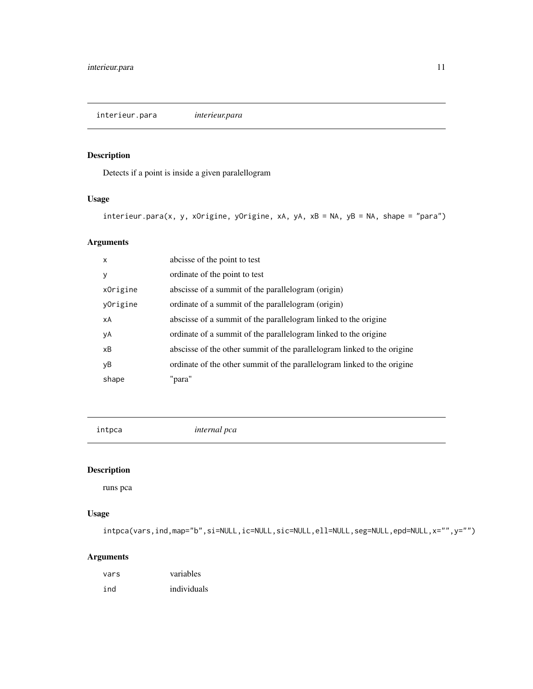<span id="page-10-0"></span>interieur.para *interieur.para*

# Description

Detects if a point is inside a given paralellogram

# Usage

interieur.para(x, y, xOrigine, yOrigine, xA, yA, xB = NA, yB = NA, shape = "para")

# Arguments

| X        | abcisse of the point to test                                            |
|----------|-------------------------------------------------------------------------|
| у        | ordinate of the point to test                                           |
| xOrigine | abscisse of a summit of the parallelogram (origin)                      |
| yOrigine | ordinate of a summit of the parallelogram (origin)                      |
| хA       | abscisse of a summit of the parallelogram linked to the origine         |
| уA       | ordinate of a summit of the parallelogram linked to the origine         |
| хB       | abscisse of the other summit of the parallelogram linked to the origine |
| yВ       | ordinate of the other summit of the parallelogram linked to the origine |
| shape    | "para"                                                                  |

intpca *internal pca*

# Description

runs pca

# Usage

intpca(vars,ind,map="b",si=NULL,ic=NULL,sic=NULL,ell=NULL,seg=NULL,epd=NULL,x="",y="")

| vars | variables   |
|------|-------------|
| ind  | individuals |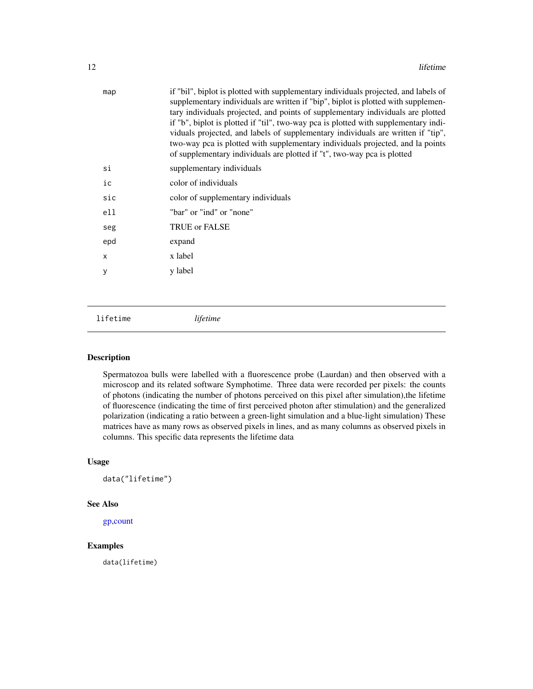<span id="page-11-0"></span>

| map          | if "bil", biplot is plotted with supplementary individuals projected, and labels of<br>supplementary individuals are written if "bip", biplot is plotted with supplemen-<br>tary individuals projected, and points of supplementary individuals are plotted<br>if "b", biplot is plotted if "til", two-way pca is plotted with supplementary indi-<br>viduals projected, and labels of supplementary individuals are written if "tip",<br>two-way pca is plotted with supplementary individuals projected, and la points<br>of supplementary individuals are plotted if "t", two-way pca is plotted |
|--------------|-----------------------------------------------------------------------------------------------------------------------------------------------------------------------------------------------------------------------------------------------------------------------------------------------------------------------------------------------------------------------------------------------------------------------------------------------------------------------------------------------------------------------------------------------------------------------------------------------------|
| si           | supplementary individuals                                                                                                                                                                                                                                                                                                                                                                                                                                                                                                                                                                           |
| ic           | color of individuals                                                                                                                                                                                                                                                                                                                                                                                                                                                                                                                                                                                |
| sic          | color of supplementary individuals                                                                                                                                                                                                                                                                                                                                                                                                                                                                                                                                                                  |
| ell          | "bar" or "ind" or "none"                                                                                                                                                                                                                                                                                                                                                                                                                                                                                                                                                                            |
| seg          | <b>TRUE or FALSE</b>                                                                                                                                                                                                                                                                                                                                                                                                                                                                                                                                                                                |
| epd          | expand                                                                                                                                                                                                                                                                                                                                                                                                                                                                                                                                                                                              |
| $\mathsf{x}$ | x label                                                                                                                                                                                                                                                                                                                                                                                                                                                                                                                                                                                             |
| у            | y label                                                                                                                                                                                                                                                                                                                                                                                                                                                                                                                                                                                             |
|              |                                                                                                                                                                                                                                                                                                                                                                                                                                                                                                                                                                                                     |

<span id="page-11-1"></span>lifetime *lifetime*

#### Description

Spermatozoa bulls were labelled with a fluorescence probe (Laurdan) and then observed with a microscop and its related software Symphotime. Three data were recorded per pixels: the counts of photons (indicating the number of photons perceived on this pixel after simulation),the lifetime of fluorescence (indicating the time of first perceived photon after stimulation) and the generalized polarization (indicating a ratio between a green-light simulation and a blue-light simulation) These matrices have as many rows as observed pixels in lines, and as many columns as observed pixels in columns. This specific data represents the lifetime data

#### Usage

data("lifetime")

#### See Also

[gp](#page-7-1)[,count](#page-2-1)

# Examples

data(lifetime)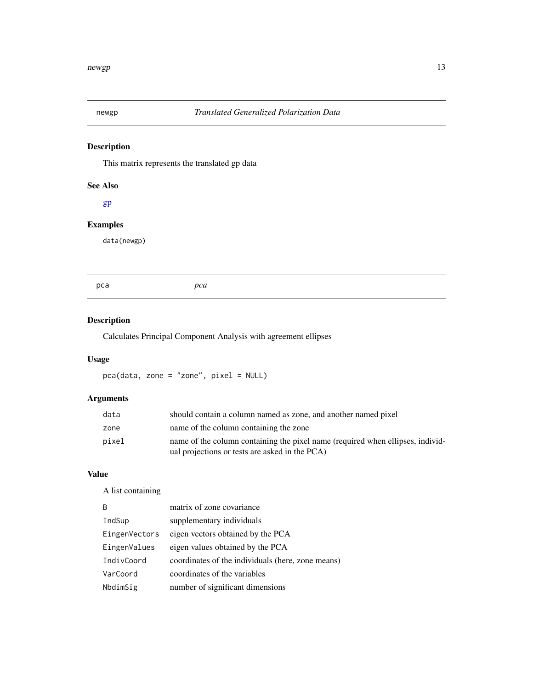<span id="page-12-0"></span>

# Description

This matrix represents the translated gp data

#### See Also

[gp](#page-7-1)

# Examples

data(newgp)

<span id="page-12-1"></span>pca *pca*

# Description

Calculates Principal Component Analysis with agreement ellipses

# Usage

pca(data, zone = "zone", pixel = NULL)

# Arguments

| data  | should contain a column named as zone, and another named pixel                 |
|-------|--------------------------------------------------------------------------------|
| zone  | name of the column containing the zone                                         |
| pixel | name of the column containing the pixel name (required when ellipses, individ- |
|       | ual projections or tests are asked in the PCA)                                 |

# Value

# A list containing

| B             | matrix of zone covariance                         |
|---------------|---------------------------------------------------|
| IndSup        | supplementary individuals                         |
| EingenVectors | eigen vectors obtained by the PCA                 |
| EingenValues  | eigen values obtained by the PCA                  |
| IndivCoord    | coordinates of the individuals (here, zone means) |
| VarCoord      | coordinates of the variables                      |
| NbdimSig      | number of significant dimensions                  |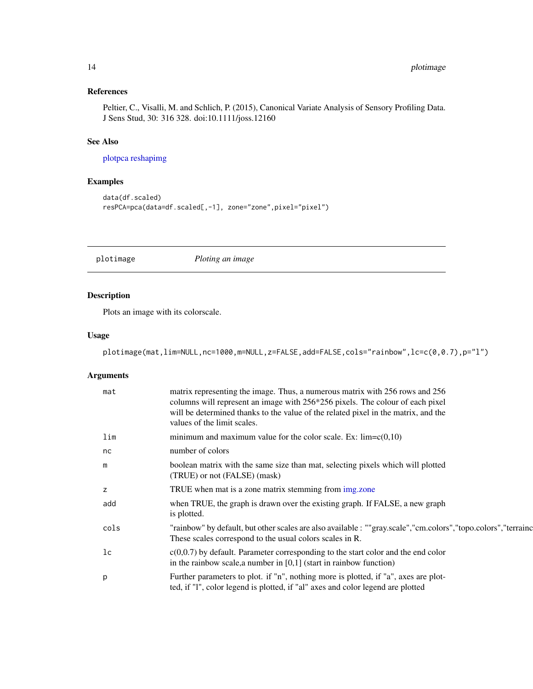#### <span id="page-13-0"></span>References

Peltier, C., Visalli, M. and Schlich, P. (2015), Canonical Variate Analysis of Sensory Profiling Data. J Sens Stud, 30: 316 328. doi:10.1111/joss.12160

# See Also

[plotpca](#page-14-1) [reshapimg](#page-16-1)

# Examples

```
data(df.scaled)
resPCA=pca(data=df.scaled[,-1], zone="zone",pixel="pixel")
```
<span id="page-13-1"></span>plotimage *Ploting an image*

# Description

Plots an image with its colorscale.

# Usage

```
plotimage(mat,lim=NULL,nc=1000,m=NULL,z=FALSE,add=FALSE,cols="rainbow",lc=c(0,0.7),p="l")
```

| mat  | matrix representing the image. Thus, a numerous matrix with 256 rows and 256<br>columns will represent an image with 256*256 pixels. The colour of each pixel<br>will be determined thanks to the value of the related pixel in the matrix, and the<br>values of the limit scales. |
|------|------------------------------------------------------------------------------------------------------------------------------------------------------------------------------------------------------------------------------------------------------------------------------------|
|      |                                                                                                                                                                                                                                                                                    |
| lim  | minimum and maximum value for the color scale. Ex: $\lim_{x \to 0} c(0,10)$                                                                                                                                                                                                        |
| nc   | number of colors                                                                                                                                                                                                                                                                   |
| m    | boolean matrix with the same size than mat, selecting pixels which will plotted<br>(TRUE) or not (FALSE) (mask)                                                                                                                                                                    |
| z    | TRUE when mat is a zone matrix stemming from img.zone                                                                                                                                                                                                                              |
| add  | when TRUE, the graph is drawn over the existing graph. If FALSE, a new graph<br>is plotted.                                                                                                                                                                                        |
| cols | "rainbow" by default, but other scales are also available : ""gray.scale","cm.colors","topo.colors","terrainc<br>These scales correspond to the usual colors scales in R.                                                                                                          |
| lc   | $c(0,0.7)$ by default. Parameter corresponding to the start color and the end color<br>in the rainbow scale, a number in $[0,1]$ (start in rainbow function)                                                                                                                       |
| р    | Further parameters to plot. if "n", nothing more is plotted, if "a", axes are plot-<br>ted, if "I", color legend is plotted, if "al" axes and color legend are plotted                                                                                                             |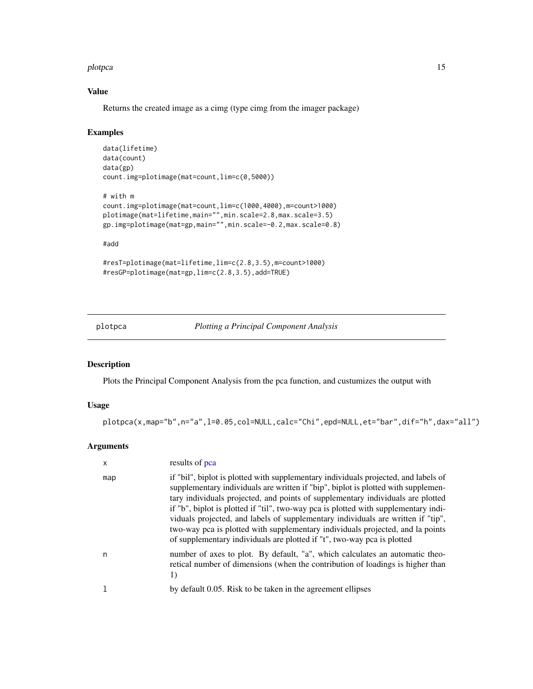#### <span id="page-14-0"></span>plotpca and the state of the state of the state of the state of the state of the state of the state of the state of the state of the state of the state of the state of the state of the state of the state of the state of th

# Value

Returns the created image as a cimg (type cimg from the imager package)

#### Examples

```
data(lifetime)
data(count)
data(gp)
count.img=plotimage(mat=count,lim=c(0,5000))
# with m
```

```
count.img=plotimage(mat=count,lim=c(1000,4000),m=count>1000)
plotimage(mat=lifetime,main="",min.scale=2.8,max.scale=3.5)
gp.img=plotimage(mat=gp,main="",min.scale=-0.2,max.scale=0.8)
```
#### #add

#resT=plotimage(mat=lifetime,lim=c(2.8,3.5),m=count>1000) #resGP=plotimage(mat=gp,lim=c(2.8,3.5),add=TRUE)

#### <span id="page-14-1"></span>plotpca *Plotting a Principal Component Analysis*

# Description

Plots the Principal Component Analysis from the pca function, and custumizes the output with

# Usage

plotpca(x,map="b",n="a",l=0.05,col=NULL,calc="Chi",epd=NULL,et="bar",dif="h",dax="all")

| x   | results of pca                                                                                                                                                                                                                                                                                                                                                                                                                                                                                                                                                                                      |
|-----|-----------------------------------------------------------------------------------------------------------------------------------------------------------------------------------------------------------------------------------------------------------------------------------------------------------------------------------------------------------------------------------------------------------------------------------------------------------------------------------------------------------------------------------------------------------------------------------------------------|
| map | if "bil", biplot is plotted with supplementary individuals projected, and labels of<br>supplementary individuals are written if "bip", biplot is plotted with supplemen-<br>tary individuals projected, and points of supplementary individuals are plotted<br>if "b", biplot is plotted if "til", two-way pca is plotted with supplementary indi-<br>viduals projected, and labels of supplementary individuals are written if "tip",<br>two-way pca is plotted with supplementary individuals projected, and la points<br>of supplementary individuals are plotted if "t", two-way pca is plotted |
| n   | number of axes to plot. By default, "a", which calculates an automatic theo-<br>retical number of dimensions (when the contribution of loadings is higher than<br>1)                                                                                                                                                                                                                                                                                                                                                                                                                                |
|     | by default 0.05. Risk to be taken in the agreement ellipses                                                                                                                                                                                                                                                                                                                                                                                                                                                                                                                                         |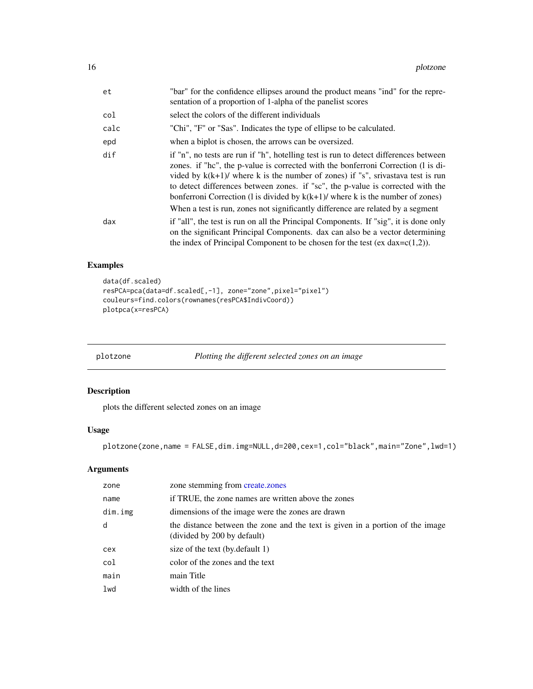<span id="page-15-0"></span>

| et   | "bar" for the confidence ellipses around the product means "ind" for the repre-<br>sentation of a proportion of 1-alpha of the panelist scores                                                                                                                                                                                                                                                                                                                                                                           |
|------|--------------------------------------------------------------------------------------------------------------------------------------------------------------------------------------------------------------------------------------------------------------------------------------------------------------------------------------------------------------------------------------------------------------------------------------------------------------------------------------------------------------------------|
| col  | select the colors of the different individuals                                                                                                                                                                                                                                                                                                                                                                                                                                                                           |
| calc | "Chi", "F" or "Sas". Indicates the type of ellipse to be calculated.                                                                                                                                                                                                                                                                                                                                                                                                                                                     |
| epd  | when a biplot is chosen, the arrows can be oversized.                                                                                                                                                                                                                                                                                                                                                                                                                                                                    |
| dif  | if "n", no tests are run if "h", hotelling test is run to detect differences between<br>zones. if "hc", the p-value is corrected with the bonferroni Correction (1 is di-<br>vided by $k(k+1)$ where k is the number of zones) if "s", srivastava test is run<br>to detect differences between zones. if "sc", the p-value is corrected with the<br>bonferroni Correction (1 is divided by $k(k+1)$ ) where k is the number of zones)<br>When a test is run, zones not significantly difference are related by a segment |
| dax  | if "all", the test is run on all the Principal Components. If "sig", it is done only<br>on the significant Principal Components. dax can also be a vector determining<br>the index of Principal Component to be chosen for the test (ex dax= $c(1,2)$ ).                                                                                                                                                                                                                                                                 |

# Examples

```
data(df.scaled)
resPCA=pca(data=df.scaled[,-1], zone="zone",pixel="pixel")
couleurs=find.colors(rownames(resPCA$IndivCoord))
plotpca(x=resPCA)
```
<span id="page-15-1"></span>

plotzone *Plotting the different selected zones on an image*

# Description

plots the different selected zones on an image

# Usage

plotzone(zone,name = FALSE,dim.img=NULL,d=200,cex=1,col="black",main="Zone",lwd=1)

| zone    | zone stemming from create.zones                                                                              |
|---------|--------------------------------------------------------------------------------------------------------------|
| name    | if TRUE, the zone names are written above the zones                                                          |
| dim.img | dimensions of the image were the zones are drawn                                                             |
| d       | the distance between the zone and the text is given in a portion of the image<br>(divided by 200 by default) |
| cex     | size of the text (by.default 1)                                                                              |
| col     | color of the zones and the text                                                                              |
| main    | main Title                                                                                                   |
| lwd     | width of the lines                                                                                           |
|         |                                                                                                              |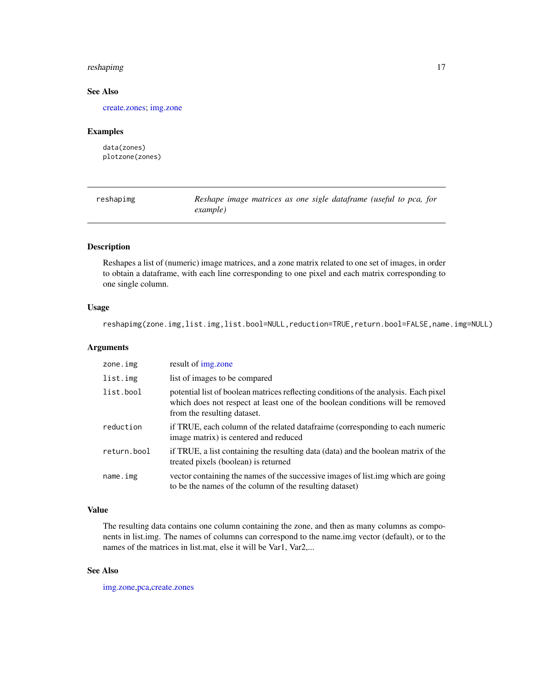# <span id="page-16-0"></span>reshaping 17

#### See Also

[create.zones;](#page-3-1) [img.zone](#page-9-1)

#### Examples

data(zones) plotzone(zones)

<span id="page-16-1"></span>

| reshapimg |          |  |  | Reshape image matrices as one sigle dataframe (useful to pca, for |  |  |
|-----------|----------|--|--|-------------------------------------------------------------------|--|--|
|           | example) |  |  |                                                                   |  |  |

#### Description

Reshapes a list of (numeric) image matrices, and a zone matrix related to one set of images, in order to obtain a dataframe, with each line corresponding to one pixel and each matrix corresponding to one single column.

#### Usage

reshapimg(zone.img,list.img,list.bool=NULL,reduction=TRUE,return.bool=FALSE,name.img=NULL)

### Arguments

| zone.img    | result of <i>img.zone</i>                                                                                                                                                                            |
|-------------|------------------------------------------------------------------------------------------------------------------------------------------------------------------------------------------------------|
| list.img    | list of images to be compared                                                                                                                                                                        |
| list.bool   | potential list of boolean matrices reflecting conditions of the analysis. Each pixel<br>which does not respect at least one of the boolean conditions will be removed<br>from the resulting dataset. |
| reduction   | if TRUE, each column of the related data fraime (corresponding to each numeric<br>image matrix) is centered and reduced                                                                              |
| return.bool | if TRUE, a list containing the resulting data (data) and the boolean matrix of the<br>treated pixels (boolean) is returned                                                                           |
| name.img    | vector containing the names of the successive images of list imp which are going<br>to be the names of the column of the resulting dataset)                                                          |

#### Value

The resulting data contains one column containing the zone, and then as many columns as components in list.img. The names of columns can correspond to the name.img vector (default), or to the names of the matrices in list.mat, else it will be Var1, Var2,...

# See Also

[img.zone,](#page-9-1)[pca](#page-12-1)[,create.zones](#page-3-1)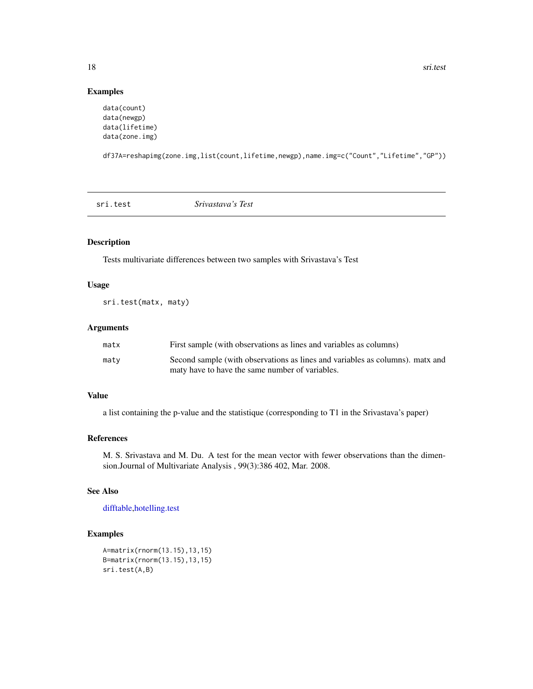#### Examples

```
data(count)
data(newgp)
data(lifetime)
data(zone.img)
```
df37A=reshapimg(zone.img,list(count,lifetime,newgp),name.img=c("Count","Lifetime","GP"))

<span id="page-17-1"></span>

| sri.test | Srivastava's Test |  |  |
|----------|-------------------|--|--|
|----------|-------------------|--|--|

# Description

Tests multivariate differences between two samples with Srivastava's Test

#### Usage

sri.test(matx, maty)

#### Arguments

| matx | First sample (with observations as lines and variables as columns)            |
|------|-------------------------------------------------------------------------------|
| matv | Second sample (with observations as lines and variables as columns), matx and |
|      | maty have to have the same number of variables.                               |

#### Value

a list containing the p-value and the statistique (corresponding to T1 in the Srivastava's paper)

#### References

M. S. Srivastava and M. Du. A test for the mean vector with fewer observations than the dimension.Journal of Multivariate Analysis , 99(3):386 402, Mar. 2008.

#### See Also

[difftable](#page-4-1)[,hotelling.test](#page-8-1)

# Examples

```
A=matrix(rnorm(13.15),13,15)
B=matrix(rnorm(13.15),13,15)
sri.test(A,B)
```
<span id="page-17-0"></span>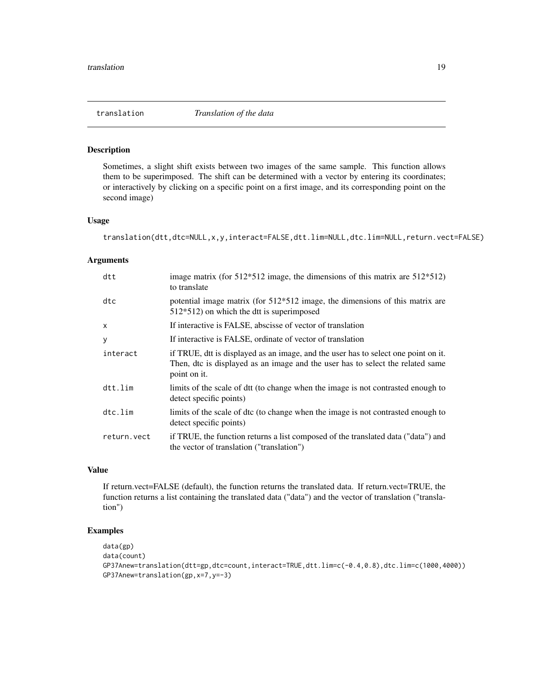<span id="page-18-0"></span>

# Description

Sometimes, a slight shift exists between two images of the same sample. This function allows them to be superimposed. The shift can be determined with a vector by entering its coordinates; or interactively by clicking on a specific point on a first image, and its corresponding point on the second image)

#### Usage

```
translation(dtt,dtc=NULL,x,y,interact=FALSE,dtt.lim=NULL,dtc.lim=NULL,return.vect=FALSE)
```
#### Arguments

| dtt         | image matrix (for $512*512$ image, the dimensions of this matrix are $512*512$ )<br>to translate                                                                                     |
|-------------|--------------------------------------------------------------------------------------------------------------------------------------------------------------------------------------|
| dtc         | potential image matrix (for $512*512$ image, the dimensions of this matrix are<br>$512*512$ ) on which the dtt is superimposed                                                       |
| X           | If interactive is FALSE, abscisse of vector of translation                                                                                                                           |
| У           | If interactive is FALSE, ordinate of vector of translation                                                                                                                           |
| interact    | if TRUE, dtt is displayed as an image, and the user has to select one point on it.<br>Then, dtc is displayed as an image and the user has to select the related same<br>point on it. |
| $dt$ .lim   | limits of the scale of dtt (to change when the image is not contrasted enough to<br>detect specific points)                                                                          |
| dtc.lim     | limits of the scale of dtc (to change when the image is not contrasted enough to<br>detect specific points)                                                                          |
| return.vect | if TRUE, the function returns a list composed of the translated data ("data") and<br>the vector of translation ("translation")                                                       |

#### Value

If return.vect=FALSE (default), the function returns the translated data. If return.vect=TRUE, the function returns a list containing the translated data ("data") and the vector of translation ("translation")

# Examples

```
data(gp)
```

```
data(count)
```

```
GP37Anew=translation(dtt=gp,dtc=count,interact=TRUE,dtt.lim=c(-0.4,0.8),dtc.lim=c(1000,4000))
GP37Anew=translation(gp,x=7,y=-3)
```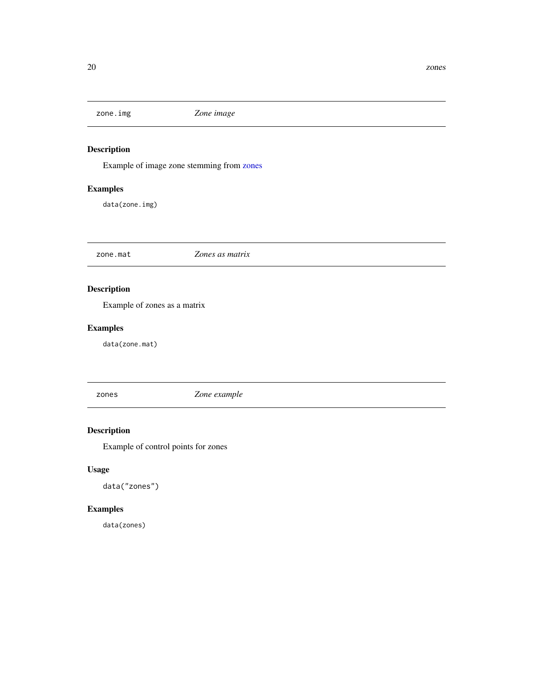<span id="page-19-0"></span>

# Description

Example of image zone stemming from [zones](#page-19-1)

# Examples

data(zone.img)

# zone.mat *Zones as matrix*

# Description

Example of zones as a matrix

# Examples

data(zone.mat)

<span id="page-19-1"></span>zones *Zone example*

# Description

Example of control points for zones

# Usage

data("zones")

# Examples

data(zones)